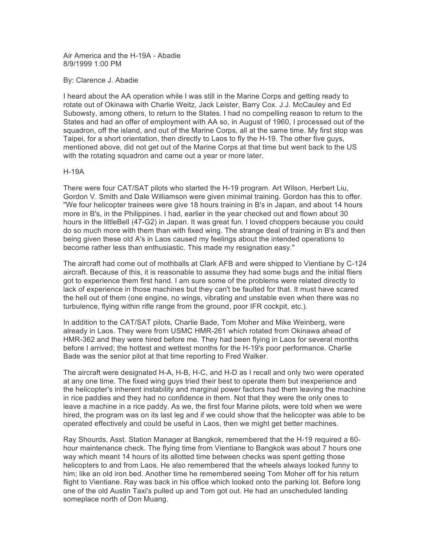Air America and the H-19A - Abadie 8/9/1999 1:00 PM

By: Clarence J. Abadie

I heard about the AA operation while I was still in the Marine Corps and getting ready to rotate out of Okinawa with Charlie Weitz, Jack Leister, Barry Cox. J.J. McCauley and Ed Subowsty, among others, to return to the States. I had no compelling reason to return to the States and had an offer of employment with AA so, in August of 1960, I processed out of the squadron, off the island, and out of the Marine Corps, all at the same time. My first stop was Taipei, for a short orientation, then directly to Laos to fly the H-19. The other five guys, mentioned above, did not get out of the Marine Corps at that time but went back to the US with the rotating squadron and came out a year or more later.

## H-19A

There were four CAT/SAT pilots who started the H-19 program. Art Wilson, Herbert Liu, Gordon V. Smith and Dale Williamson were given minimal training. Gordon has this to offer. "We four helicopter trainees were give 18 hours training in B's in Japan, and about 14 hours more in B's, in the Philippines. I had, earlier in the year checked out and flown about 30 hours in the littleBell (47-G2) in Japan. It was great fun. I loved choppers because you could do so much more with them than with fixed wing. The strange deal of training in B's and then being given these old A's in Laos caused my feelings about the intended operations to become rather less than enthusiastic. This made my resignation easy."

The aircraft had come out of mothballs at Clark AFB and were shipped to Vientiane by C-124 aircraft. Because of this, it is reasonable to assume they had some bugs and the initial fliers got to experience them first hand. I am sure some of the problems were related directly to lack of experience in those machines but they can't be faulted for that. It must have scared the hell out of them (one engine, no wings, vibrating and unstable even when there was no turbulence, flying within rifle range from the ground, poor IFR cockpit, etc.).

In addition to the CAT/SAT pilots, Charlie Bade, Tom Moher and Mike Weinberg, were already in Laos. They were from USMC HMR-261 which rotated from Okinawa ahead of HMR-362 and they were hired before me. They had been flying in Laos for several months before I arrived; the hottest and wettest months for the H-19's poor performance. Charlie Bade was the senior pilot at that time reporting to Fred Walker.

The aircraft were designated H-A, H-B, H-C, and H-D as I recall and only two were operated at any one time. The fixed wing guys tried their best to operate them but inexperience and the helicopter's inherent instability and marginal power factors had them leaving the machine in rice paddies and they had no confidence in them. Not that they were the only ones to leave a machine in a rice paddy. As we, the first four Marine pilots, were told when we were hired, the program was on its last leg and if we could show that the helicopter was able to be operated effectively and could be useful in Laos, then we might get better machines.

Ray Shourds, Asst. Station Manager at Bangkok, remembered that the H-19 required a 60 hour maintenance check. The flying time from Vientiane to Bangkok was about 7 hours one way which meant 14 hours of its allotted time between checks was spent getting those helicopters to and from Laos. He also remembered that the wheels always looked funny to him; like an old iron bed. Another time he remembered seeing Tom Moher off for his return flight to Vientiane. Ray was back in his office which looked onto the parking lot. Before long one of the old Austin Taxi's pulled up and Tom got out. He had an unscheduled landing someplace north of Don Muang.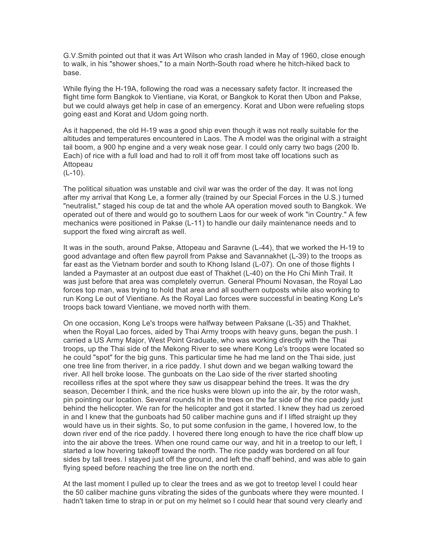G.V.Smith pointed out that it was Art Wilson who crash landed in May of 1960, close enough to walk, in his "shower shoes," to a main North-South road where he hitch-hiked back to base.

While flying the H-19A, following the road was a necessary safety factor. It increased the flight time form Bangkok to Vientiane, via Korat, or Bangkok to Korat then Ubon and Pakse, but we could always get help in case of an emergency. Korat and Ubon were refueling stops going east and Korat and Udom going north.

As it happened, the old H-19 was a good ship even though it was not really suitable for the altitudes and temperatures encountered in Laos. The A model was the original with a straight tail boom, a 900 hp engine and a very weak nose gear. I could only carry two bags (200 lb. Each) of rice with a full load and had to roll it off from most take off locations such as Attopeau

(L-10).

The political situation was unstable and civil war was the order of the day. It was not long after my arrival that Kong Le, a former ally (trained by our Special Forces in the U.S.) turned "neutralist," staged his coup de tat and the whole AA operation moved south to Bangkok. We operated out of there and would go to southern Laos for our week of work "in Country." A few mechanics were positioned in Pakse (L-11) to handle our daily maintenance needs and to support the fixed wing aircraft as well.

It was in the south, around Pakse, Attopeau and Saravne (L-44), that we worked the H-19 to good advantage and often flew payroll from Pakse and Savannakhet (L-39) to the troops as far east as the Vietnam border and south to Khong Island (L-07). On one of those flights I landed a Paymaster at an outpost due east of Thakhet (L-40) on the Ho Chi Minh Trail. It was just before that area was completely overrun. General Phoumi Novasan, the Royal Lao forces top man, was trying to hold that area and all southern outposts while also working to run Kong Le out of Vientiane. As the Royal Lao forces were successful in beating Kong Le's troops back toward Vientiane, we moved north with them.

On one occasion, Kong Le's troops were halfway between Paksane (L-35) and Thakhet, when the Royal Lao forces, aided by Thai Army troops with heavy guns, began the push. I carried a US Army Major, West Point Graduate, who was working directly with the Thai troops, up the Thai side of the Mekong River to see where Kong Le's troops were located so he could "spot" for the big guns. This particular time he had me land on the Thai side, just one tree line from theriver, in a rice paddy. I shut down and we began walking toward the river. All hell broke loose. The gunboats on the Lao side of the river started shooting recoilless rifles at the spot where they saw us disappear behind the trees. It was the dry season, December I think, and the rice husks were blown up into the air, by the rotor wash, pin pointing our location. Several rounds hit in the trees on the far side of the rice paddy just behind the helicopter. We ran for the helicopter and got it started. I knew they had us zeroed in and I knew that the gunboats had 50 caliber machine guns and if I lifted straight up they would have us in their sights. So, to put some confusion in the game, I hovered low, to the down river end of the rice paddy. I hovered there long enough to have the rice chaff blow up into the air above the trees. When one round came our way, and hit in a treetop to our left, I started a low hovering takeoff toward the north. The rice paddy was bordered on all four sides by tall trees. I stayed just off the ground, and left the chaff behind, and was able to gain flying speed before reaching the tree line on the north end.

At the last moment I pulled up to clear the trees and as we got to treetop level I could hear the 50 caliber machine guns vibrating the sides of the gunboats where they were mounted. I hadn't taken time to strap in or put on my helmet so I could hear that sound very clearly and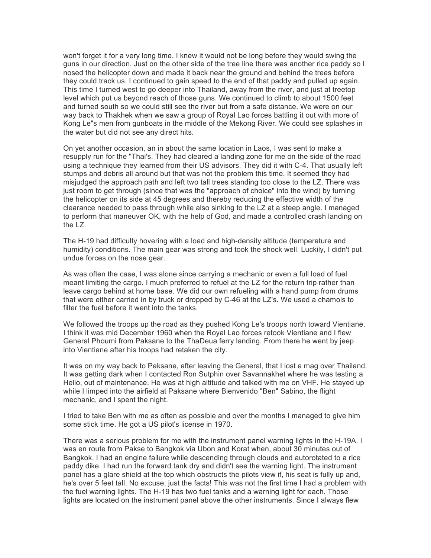won't forget it for a very long time. I knew it would not be long before they would swing the guns in our direction. Just on the other side of the tree line there was another rice paddy so I nosed the helicopter down and made it back near the ground and behind the trees before they could track us. I continued to gain speed to the end of that paddy and pulled up again. This time I turned west to go deeper into Thailand, away from the river, and just at treetop level which put us beyond reach of those guns. We continued to climb to about 1500 feet and turned south so we could still see the river but from a safe distance. We were on our way back to Thakhek when we saw a group of Royal Lao forces battling it out with more of Kong Le"s men from gunboats in the middle of the Mekong River. We could see splashes in the water but did not see any direct hits.

On yet another occasion, an in about the same location in Laos, I was sent to make a resupply run for the "Thai's. They had cleared a landing zone for me on the side of the road using a technique they learned from their US advisors. They did it with C-4. That usually left stumps and debris all around but that was not the problem this time. It seemed they had misjudged the approach path and left two tall trees standing too close to the LZ. There was just room to get through (since that was the "approach of choice" into the wind) by turning the helicopter on its side at 45 degrees and thereby reducing the effective width of the clearance needed to pass through while also sinking to the LZ at a steep angle. I managed to perform that maneuver OK, with the help of God, and made a controlled crash landing on the LZ.

The H-19 had difficulty hovering with a load and high-density altitude (temperature and humidity) conditions. The main gear was strong and took the shock well. Luckily, I didn't put undue forces on the nose gear.

As was often the case, I was alone since carrying a mechanic or even a full load of fuel meant limiting the cargo. I much preferred to refuel at the LZ for the return trip rather than leave cargo behind at home base. We did our own refueling with a hand pump from drums that were either carried in by truck or dropped by C-46 at the LZ's. We used a chamois to filter the fuel before it went into the tanks.

We followed the troops up the road as they pushed Kong Le's troops north toward Vientiane. I think it was mid December 1960 when the Royal Lao forces retook Vientiane and I flew General Phoumi from Paksane to the ThaDeua ferry landing. From there he went by jeep into Vientiane after his troops had retaken the city.

It was on my way back to Paksane, after leaving the General, that I lost a mag over Thailand. It was getting dark when I contacted Ron Sutphin over Savannakhet where he was testing a Helio, out of maintenance. He was at high altitude and talked with me on VHF. He stayed up while I limped into the airfield at Paksane where Bienvenido "Ben" Sabino, the flight mechanic, and I spent the night.

I tried to take Ben with me as often as possible and over the months I managed to give him some stick time. He got a US pilot's license in 1970.

There was a serious problem for me with the instrument panel warning lights in the H-19A. I was en route from Pakse to Bangkok via Ubon and Korat when, about 30 minutes out of Bangkok, I had an engine failure while descending through clouds and autorotated to a rice paddy dike. I had run the forward tank dry and didn't see the warning light. The instrument panel has a glare shield at the top which obstructs the pilots view if, his seat is fully up and, he's over 5 feet tall. No excuse, just the facts! This was not the first time I had a problem with the fuel warning lights. The H-19 has two fuel tanks and a warning light for each. Those lights are located on the instrument panel above the other instruments. Since I always flew